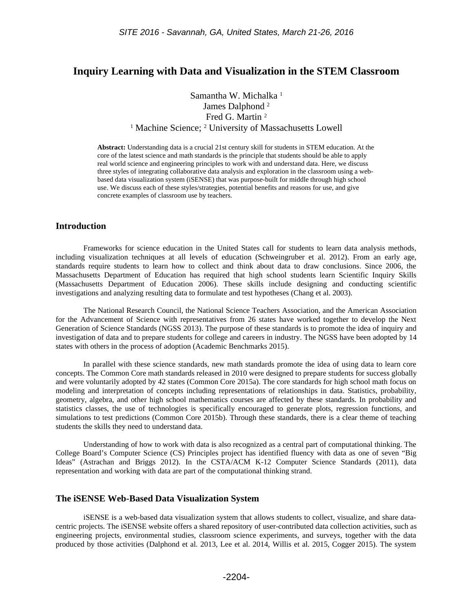# **Inquiry Learning with Data and Visualization in the STEM Classroom**

Samantha W. Michalka<sup>1</sup> James Dalphond <sup>2</sup> Fred G. Martin <sup>2</sup> <sup>1</sup> Machine Science; <sup>2</sup> University of Massachusetts Lowell

**Abstract:** Understanding data is a crucial 21st century skill for students in STEM education. At the core of the latest science and math standards is the principle that students should be able to apply real world science and engineering principles to work with and understand data. Here, we discuss three styles of integrating collaborative data analysis and exploration in the classroom using a webbased data visualization system (iSENSE) that was purpose-built for middle through high school use. We discuss each of these styles/strategies, potential benefits and reasons for use, and give concrete examples of classroom use by teachers.

### **Introduction**

Frameworks for science education in the United States call for students to learn data analysis methods, including visualization techniques at all levels of education (Schweingruber et al. 2012). From an early age, standards require students to learn how to collect and think about data to draw conclusions. Since 2006, the Massachusetts Department of Education has required that high school students learn Scientific Inquiry Skills (Massachusetts Department of Education 2006). These skills include designing and conducting scientific investigations and analyzing resulting data to formulate and test hypotheses (Chang et al. 2003).

The National Research Council, the National Science Teachers Association, and the American Association for the Advancement of Science with representatives from 26 states have worked together to develop the Next Generation of Science Standards (NGSS 2013). The purpose of these standards is to promote the idea of inquiry and investigation of data and to prepare students for college and careers in industry. The NGSS have been adopted by 14 states with others in the process of adoption (Academic Benchmarks 2015).

In parallel with these science standards, new math standards promote the idea of using data to learn core concepts. The Common Core math standards released in 2010 were designed to prepare students for success globally and were voluntarily adopted by 42 states (Common Core 2015a). The core standards for high school math focus on modeling and interpretation of concepts including representations of relationships in data. Statistics, probability, geometry, algebra, and other high school mathematics courses are affected by these standards. In probability and statistics classes, the use of technologies is specifically encouraged to generate plots, regression functions, and simulations to test predictions (Common Core 2015b). Through these standards, there is a clear theme of teaching students the skills they need to understand data.

Understanding of how to work with data is also recognized as a central part of computational thinking. The College Board's Computer Science (CS) Principles project has identified fluency with data as one of seven "Big Ideas" (Astrachan and Briggs 2012). In the CSTA/ACM K-12 Computer Science Standards (2011), data representation and working with data are part of the computational thinking strand.

### **The iSENSE Web-Based Data Visualization System**

iSENSE is a web-based data visualization system that allows students to collect, visualize, and share datacentric projects. The iSENSE website offers a shared repository of user-contributed data collection activities, such as engineering projects, environmental studies, classroom science experiments, and surveys, together with the data produced by those activities (Dalphond et al. 2013, Lee et al. 2014, Willis et al. 2015, Cogger 2015). The system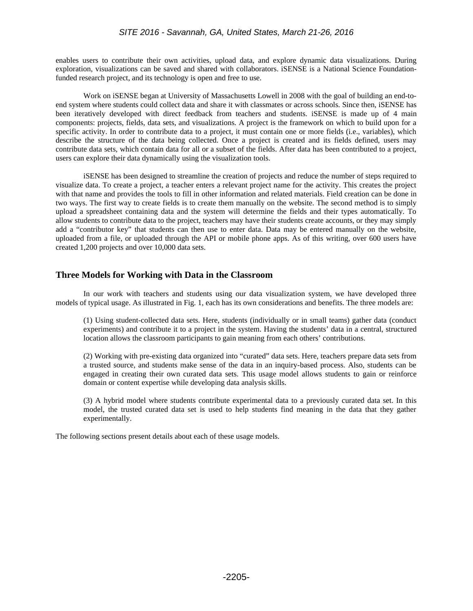enables users to contribute their own activities, upload data, and explore dynamic data visualizations. During exploration, visualizations can be saved and shared with collaborators. iSENSE is a National Science Foundationfunded research project, and its technology is open and free to use.

Work on iSENSE began at University of Massachusetts Lowell in 2008 with the goal of building an end-toend system where students could collect data and share it with classmates or across schools. Since then, iSENSE has been iteratively developed with direct feedback from teachers and students. iSENSE is made up of 4 main components: projects, fields, data sets, and visualizations. A project is the framework on which to build upon for a specific activity. In order to contribute data to a project, it must contain one or more fields (i.e., variables), which describe the structure of the data being collected. Once a project is created and its fields defined, users may contribute data sets, which contain data for all or a subset of the fields. After data has been contributed to a project, users can explore their data dynamically using the visualization tools.

iSENSE has been designed to streamline the creation of projects and reduce the number of steps required to visualize data. To create a project, a teacher enters a relevant project name for the activity. This creates the project with that name and provides the tools to fill in other information and related materials. Field creation can be done in two ways. The first way to create fields is to create them manually on the website. The second method is to simply upload a spreadsheet containing data and the system will determine the fields and their types automatically. To allow students to contribute data to the project, teachers may have their students create accounts, or they may simply add a "contributor key" that students can then use to enter data. Data may be entered manually on the website, uploaded from a file, or uploaded through the API or mobile phone apps. As of this writing, over 600 users have created 1,200 projects and over 10,000 data sets.

# **Three Models for Working with Data in the Classroom**

In our work with teachers and students using our data visualization system, we have developed three models of typical usage. As illustrated in Fig. 1, each has its own considerations and benefits. The three models are:

(1) Using student-collected data sets. Here, students (individually or in small teams) gather data (conduct experiments) and contribute it to a project in the system. Having the students' data in a central, structured location allows the classroom participants to gain meaning from each others' contributions.

(2) Working with pre-existing data organized into "curated" data sets. Here, teachers prepare data sets from a trusted source, and students make sense of the data in an inquiry-based process. Also, students can be engaged in creating their own curated data sets. This usage model allows students to gain or reinforce domain or content expertise while developing data analysis skills.

(3) A hybrid model where students contribute experimental data to a previously curated data set. In this model, the trusted curated data set is used to help students find meaning in the data that they gather experimentally.

The following sections present details about each of these usage models.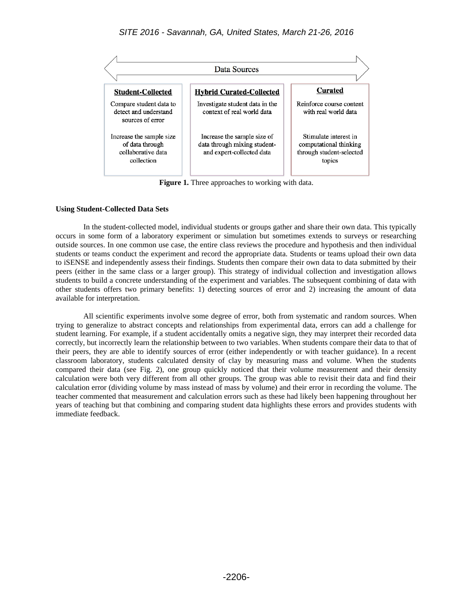

**Figure 1.** Three approaches to working with data.

### **Using Student-Collected Data Sets**

In the student-collected model, individual students or groups gather and share their own data. This typically occurs in some form of a laboratory experiment or simulation but sometimes extends to surveys or researching outside sources. In one common use case, the entire class reviews the procedure and hypothesis and then individual students or teams conduct the experiment and record the appropriate data. Students or teams upload their own data to iSENSE and independently assess their findings. Students then compare their own data to data submitted by their peers (either in the same class or a larger group). This strategy of individual collection and investigation allows students to build a concrete understanding of the experiment and variables. The subsequent combining of data with other students offers two primary benefits: 1) detecting sources of error and 2) increasing the amount of data available for interpretation.

All scientific experiments involve some degree of error, both from systematic and random sources. When trying to generalize to abstract concepts and relationships from experimental data, errors can add a challenge for student learning. For example, if a student accidentally omits a negative sign, they may interpret their recorded data correctly, but incorrectly learn the relationship between to two variables. When students compare their data to that of their peers, they are able to identify sources of error (either independently or with teacher guidance). In a recent classroom laboratory, students calculated density of clay by measuring mass and volume. When the students compared their data (see Fig. 2), one group quickly noticed that their volume measurement and their density calculation were both very different from all other groups. The group was able to revisit their data and find their calculation error (dividing volume by mass instead of mass by volume) and their error in recording the volume. The teacher commented that measurement and calculation errors such as these had likely been happening throughout her years of teaching but that combining and comparing student data highlights these errors and provides students with immediate feedback.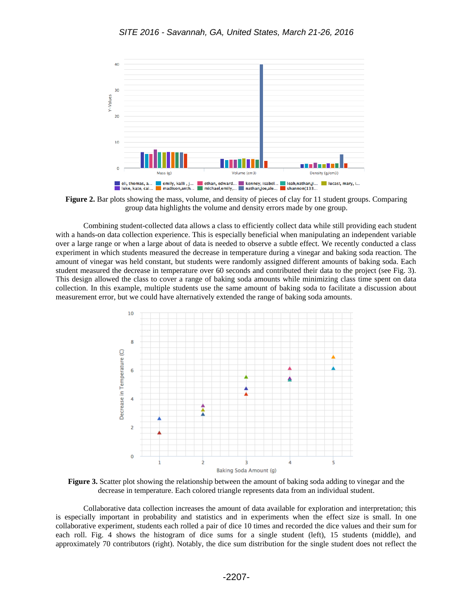

**Figure 2.** Bar plots showing the mass, volume, and density of pieces of clay for 11 student groups. Comparing group data highlights the volume and density errors made by one group.

Combining student-collected data allows a class to efficiently collect data while still providing each student with a hands-on data collection experience. This is especially beneficial when manipulating an independent variable over a large range or when a large about of data is needed to observe a subtle effect. We recently conducted a class experiment in which students measured the decrease in temperature during a vinegar and baking soda reaction. The amount of vinegar was held constant, but students were randomly assigned different amounts of baking soda. Each student measured the decrease in temperature over 60 seconds and contributed their data to the project (see Fig. 3). This design allowed the class to cover a range of baking soda amounts while minimizing class time spent on data collection. In this example, multiple students use the same amount of baking soda to facilitate a discussion about measurement error, but we could have alternatively extended the range of baking soda amounts.



**Figure 3.** Scatter plot showing the relationship between the amount of baking soda adding to vinegar and the decrease in temperature. Each colored triangle represents data from an individual student.

Collaborative data collection increases the amount of data available for exploration and interpretation; this is especially important in probability and statistics and in experiments when the effect size is small. In one collaborative experiment, students each rolled a pair of dice 10 times and recorded the dice values and their sum for each roll. Fig. 4 shows the histogram of dice sums for a single student (left), 15 students (middle), and approximately 70 contributors (right). Notably, the dice sum distribution for the single student does not reflect the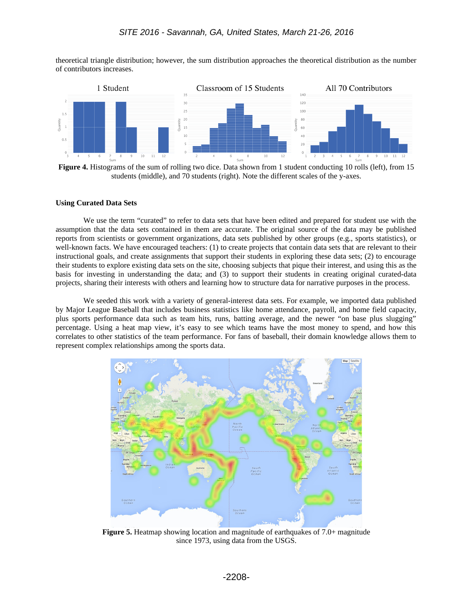theoretical triangle distribution; however, the sum distribution approaches the theoretical distribution as the number of contributors increases.



**Figure 4.** Histograms of the sum of rolling two dice. Data shown from 1 student conducting 10 rolls (left), from 15 students (middle), and 70 students (right). Note the different scales of the y-axes.

#### **Using Curated Data Sets**

We use the term "curated" to refer to data sets that have been edited and prepared for student use with the assumption that the data sets contained in them are accurate. The original source of the data may be published reports from scientists or government organizations, data sets published by other groups (e.g., sports statistics), or well-known facts. We have encouraged teachers: (1) to create projects that contain data sets that are relevant to their instructional goals, and create assignments that support their students in exploring these data sets; (2) to encourage their students to explore existing data sets on the site, choosing subjects that pique their interest, and using this as the basis for investing in understanding the data; and (3) to support their students in creating original curated-data projects, sharing their interests with others and learning how to structure data for narrative purposes in the process.

We seeded this work with a variety of general-interest data sets. For example, we imported data published by Major League Baseball that includes business statistics like home attendance, payroll, and home field capacity, plus sports performance data such as team hits, runs, batting average, and the newer "on base plus slugging" percentage. Using a heat map view, it's easy to see which teams have the most money to spend, and how this correlates to other statistics of the team performance. For fans of baseball, their domain knowledge allows them to represent complex relationships among the sports data.



**Figure 5.** Heatmap showing location and magnitude of earthquakes of 7.0+ magnitude since 1973, using data from the USGS.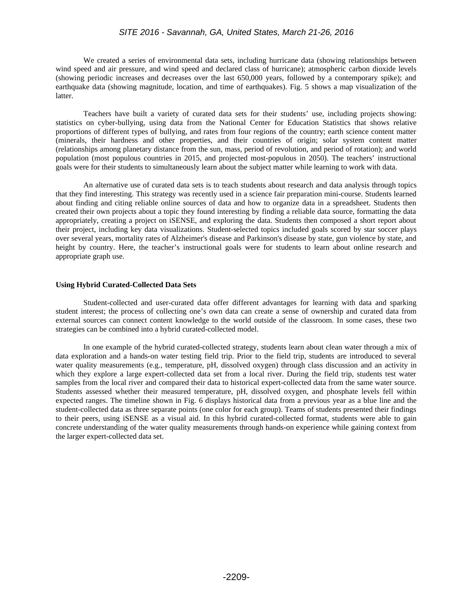### *SITE 2016 - Savannah, GA, United States, March 21-26, 2016*

We created a series of environmental data sets, including hurricane data (showing relationships between wind speed and air pressure, and wind speed and declared class of hurricane); atmospheric carbon dioxide levels (showing periodic increases and decreases over the last 650,000 years, followed by a contemporary spike); and earthquake data (showing magnitude, location, and time of earthquakes). Fig. 5 shows a map visualization of the latter.

Teachers have built a variety of curated data sets for their students' use, including projects showing: statistics on cyber-bullying, using data from the National Center for Education Statistics that shows relative proportions of different types of bullying, and rates from four regions of the country; earth science content matter (minerals, their hardness and other properties, and their countries of origin; solar system content matter (relationships among planetary distance from the sun, mass, period of revolution, and period of rotation); and world population (most populous countries in 2015, and projected most-populous in 2050). The teachers' instructional goals were for their students to simultaneously learn about the subject matter while learning to work with data.

An alternative use of curated data sets is to teach students about research and data analysis through topics that they find interesting. This strategy was recently used in a science fair preparation mini-course. Students learned about finding and citing reliable online sources of data and how to organize data in a spreadsheet. Students then created their own projects about a topic they found interesting by finding a reliable data source, formatting the data appropriately, creating a project on iSENSE, and exploring the data. Students then composed a short report about their project, including key data visualizations. Student-selected topics included goals scored by star soccer plays over several years, mortality rates of Alzheimer's disease and Parkinson's disease by state, gun violence by state, and height by country. Here, the teacher's instructional goals were for students to learn about online research and appropriate graph use.

#### **Using Hybrid Curated-Collected Data Sets**

Student-collected and user-curated data offer different advantages for learning with data and sparking student interest; the process of collecting one's own data can create a sense of ownership and curated data from external sources can connect content knowledge to the world outside of the classroom. In some cases, these two strategies can be combined into a hybrid curated-collected model.

In one example of the hybrid curated-collected strategy, students learn about clean water through a mix of data exploration and a hands-on water testing field trip. Prior to the field trip, students are introduced to several water quality measurements (e.g., temperature, pH, dissolved oxygen) through class discussion and an activity in which they explore a large expert-collected data set from a local river. During the field trip, students test water samples from the local river and compared their data to historical expert-collected data from the same water source. Students assessed whether their measured temperature, pH, dissolved oxygen, and phosphate levels fell within expected ranges. The timeline shown in Fig. 6 displays historical data from a previous year as a blue line and the student-collected data as three separate points (one color for each group). Teams of students presented their findings to their peers, using iSENSE as a visual aid. In this hybrid curated-collected format, students were able to gain concrete understanding of the water quality measurements through hands-on experience while gaining context from the larger expert-collected data set.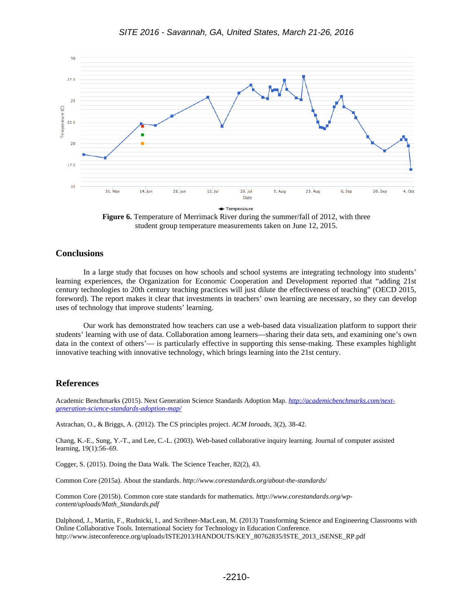

Figure 6. Temperature of Merrimack River during the summer/fall of 2012, with three student group temperature measurements taken on June 12, 2015.

## **Conclusions**

In a large study that focuses on how schools and school systems are integrating technology into students' learning experiences, the Organization for Economic Cooperation and Development reported that "adding 21st century technologies to 20th century teaching practices will just dilute the effectiveness of teaching" (OECD 2015, foreword). The report makes it clear that investments in teachers' own learning are necessary, so they can develop uses of technology that improve students' learning.

Our work has demonstrated how teachers can use a web-based data visualization platform to support their students' learning with use of data. Collaboration among learners—sharing their data sets, and examining one's own data in the context of others'— is particularly effective in supporting this sense-making. These examples highlight innovative teaching with innovative technology, which brings learning into the 21st century.

# **References**

Academic Benchmarks (2015). Next Generation Science Standards Adoption Map. *[http://academicbenchmarks.com/next](http://academicbenchmarks.com/next-generation-science-standards-adoption-map/)[generation-science-standards-adoption-map/](http://academicbenchmarks.com/next-generation-science-standards-adoption-map/)*

Astrachan, O., & Briggs, A. (2012). The CS principles project. *ACM Inroads*, 3(2), 38-42.

Chang, K.-E., Sung, Y.-T., and Lee, C.-L. (2003). Web-based collaborative inquiry learning. Journal of computer assisted learning, 19(1):56–69.

Cogger, S. (2015). Doing the Data Walk. The Science Teacher, 82(2), 43.

Common Core (2015a). About the standards. *http://www.corestandards.org/about-the-standards/*

Common Core (2015b). Common core state standards for mathematics. *http://www.corestandards.org/wpcontent/uploads/Math\_Standards.pdf*

Dalphond, J., Martin, F., Rudnicki, I., and Scribner-MacLean, M. (2013) Transforming Science and Engineering Classrooms with Online Collaborative Tools. International Society for Technology in Education Conference. http://www.isteconference.org/uploads/ISTE2013/HANDOUTS/KEY\_80762835/ISTE\_2013\_iSENSE\_RP.pdf